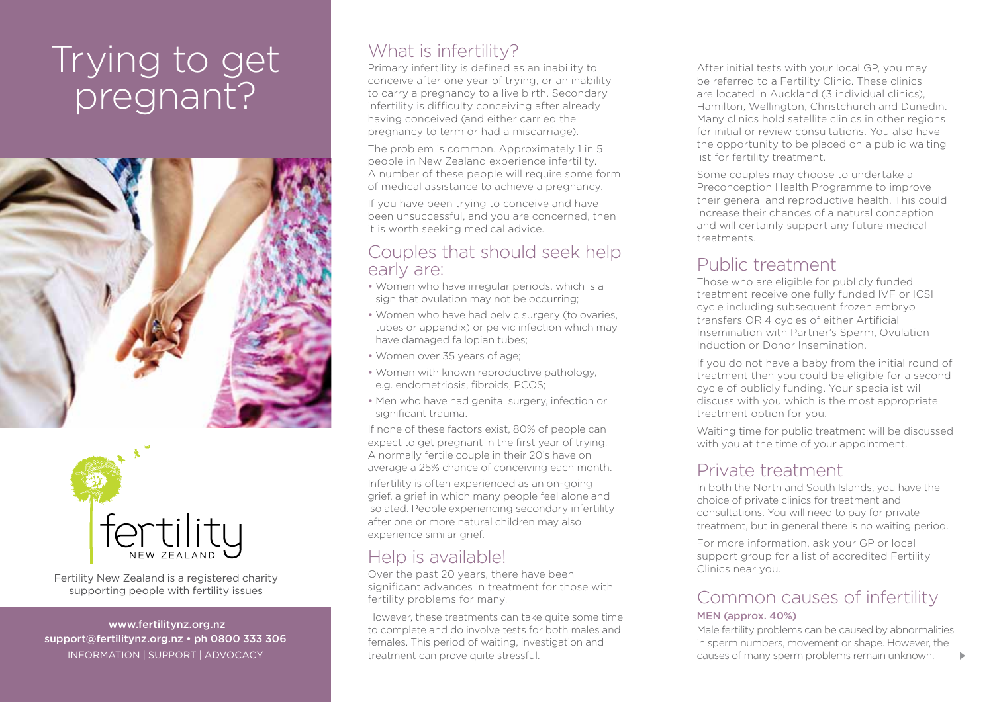# Trying to get pregnant?





Fertility New Zealand is a registered charity supporting people with fertility issues

 www.fertilitynz.org.nz support@fertilitynz.org.nz • ph 0800 333 306

# What is infertility?

Primary infertility is defined as an inability to conceive after one year of trying, or an inability to carry a pregnancy to a live birth. Secondary infertility is difficulty conceiving after already having conceived (and either carried the pregnancy to term or had a miscarriage).

The problem is common. Approximately 1 in 5 people in New Zealand experience infertility. A number of these people will require some form of medical assistance to achieve a pregnancy.

If you have been trying to conceive and have been unsuccessful, and you are concerned, then it is worth seeking medical advice.

## Couples that should seek help early are:

- Women who have irregular periods, which is a sign that ovulation may not be occurring;
- Women who have had pelvic surgery (to ovaries, tubes or appendix) or pelvic infection which may have damaged fallopian tubes;
- Women over 35 years of age;
- Women with known reproductive pathology, e.g. endometriosis, fibroids, PCOS;
- Men who have had genital surgery, infection or significant trauma.

If none of these factors exist, 80% of people can expect to get pregnant in the first year of trying. A normally fertile couple in their 20's have on average a 25% chance of conceiving each month.

Infertility is often experienced as an on-going grief, a grief in which many people feel alone and isolated. People experiencing secondary infertility after one or more natural children may also experience similar grief.

# Help is available!

Over the past 20 years, there have been significant advances in treatment for those with fertility problems for many.

INFORMATION | SUPPORT | ADVOCACY **30 CAUST 100 CAUST 100 CAUST 100 CAUST 100 CAUST 100 CAUST 100 CAUST 100 CAUST 100 CAUST 100 CAUST 100 CAUST 100 CAUST 100 CAUST 100 CAUST 100 CAUST 100 CAUST 100 CAUST 100 CAUST 100 CAUST** However, these treatments can take quite some time to complete and do involve tests for both males and females. This period of waiting, investigation and treatment can prove quite stressful.

After initial tests with your local GP, you may be referred to a Fertility Clinic. These clinics are located in Auckland (3 individual clinics), Hamilton, Wellington, Christchurch and Dunedin. Many clinics hold satellite clinics in other regions for initial or review consultations. You also have the opportunity to be placed on a public waiting list for fertility treatment.

Some couples may choose to undertake a Preconception Health Programme to improve their general and reproductive health. This could increase their chances of a natural conception and will certainly support any future medical treatments.

# Public treatment

Those who are eligible for publicly funded treatment receive one fully funded IVF or ICSI cycle including subsequent frozen embryo transfers OR 4 cycles of either Artificial Insemination with Partner's Sperm, Ovulation Induction or Donor Insemination.

If you do not have a baby from the initial round of treatment then you could be eligible for a second cycle of publicly funding. Your specialist will discuss with you which is the most appropriate treatment option for you.

Waiting time for public treatment will be discussed with you at the time of your appointment.

# Private treatment

In both the North and South Islands, you have the choice of private clinics for treatment and consultations. You will need to pay for private treatment, but in general there is no waiting period.

For more information, ask your GP or local support group for a list of accredited Fertility Clinics near you.

### Common causes of infertility MEN (approx. 40%)

Male fertility problems can be caused by abnormalities in sperm numbers, movement or shape. However, the